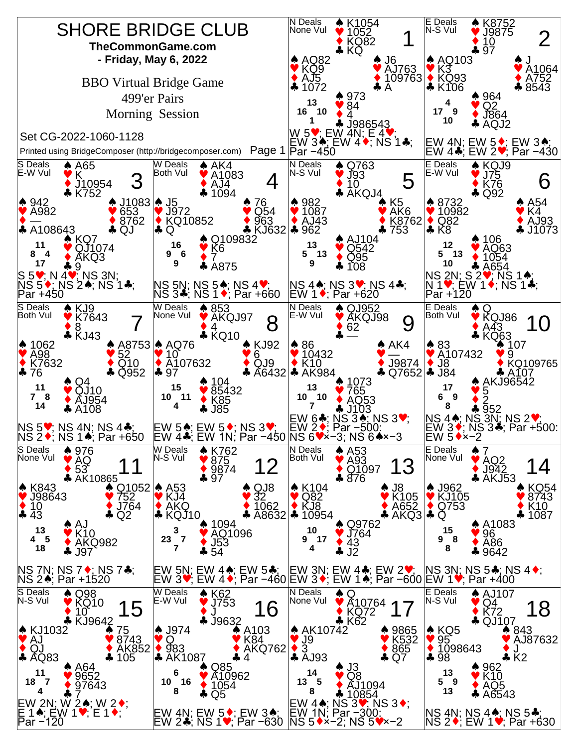